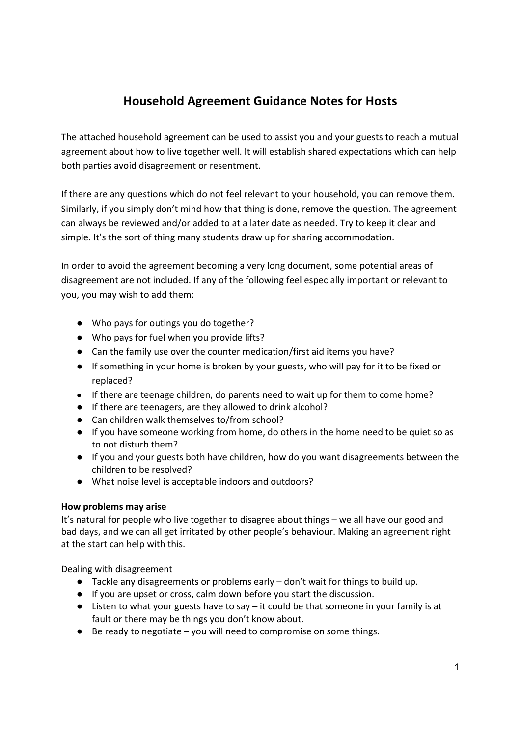# **Household Agreement Guidance Notes for Hosts**

The attached household agreement can be used to assist you and your guests to reach a mutual agreement about how to live together well. It will establish shared expectations which can help both parties avoid disagreement or resentment.

If there are any questions which do not feel relevant to your household, you can remove them. Similarly, if you simply don't mind how that thing is done, remove the question. The agreement can always be reviewed and/or added to at a later date as needed. Try to keep it clear and simple. It's the sort of thing many students draw up for sharing accommodation.

In order to avoid the agreement becoming a very long document, some potential areas of disagreement are not included. If any of the following feel especially important or relevant to you, you may wish to add them:

- Who pays for outings you do together?
- Who pays for fuel when you provide lifts?
- Can the family use over the counter medication/first aid items you have?
- If something in your home is broken by your guests, who will pay for it to be fixed or replaced?
- If there are teenage children, do parents need to wait up for them to come home?
- If there are teenagers, are they allowed to drink alcohol?
- Can children walk themselves to/from school?
- If you have someone working from home, do others in the home need to be quiet so as to not disturb them?
- If you and your guests both have children, how do you want disagreements between the children to be resolved?
- What noise level is acceptable indoors and outdoors?

#### **How problems may arise**

It's natural for people who live together to disagree about things – we all have our good and bad days, and we can all get irritated by other people's behaviour. Making an agreement right at the start can help with this.

#### Dealing with disagreement

- Tackle any disagreements or problems early don't wait for things to build up.
- If you are upset or cross, calm down before you start the discussion.
- Listen to what your guests have to say it could be that someone in your family is at fault or there may be things you don't know about.
- $\bullet$  Be ready to negotiate you will need to compromise on some things.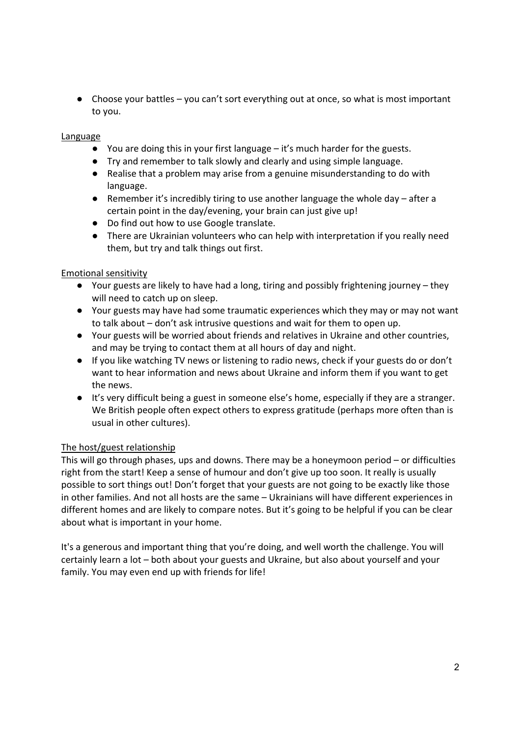● Choose your battles – you can't sort everything out at once, so what is most important to you.

#### Language

- You are doing this in your first language it's much harder for the guests.
- Try and remember to talk slowly and clearly and using simple language.
- Realise that a problem may arise from a genuine misunderstanding to do with language.
- **•** Remember it's incredibly tiring to use another language the whole day after a certain point in the day/evening, your brain can just give up!
- Do find out how to use Google translate.
- There are Ukrainian volunteers who can help with interpretation if you really need them, but try and talk things out first.

#### Emotional sensitivity

- Your guests are likely to have had a long, tiring and possibly frightening journey they will need to catch up on sleep.
- Your guests may have had some traumatic experiences which they may or may not want to talk about – don't ask intrusive questions and wait for them to open up.
- Your guests will be worried about friends and relatives in Ukraine and other countries, and may be trying to contact them at all hours of day and night.
- If you like watching TV news or listening to radio news, check if your guests do or don't want to hear information and news about Ukraine and inform them if you want to get the news.
- It's very difficult being a guest in someone else's home, especially if they are a stranger. We British people often expect others to express gratitude (perhaps more often than is usual in other cultures).

## The host/guest relationship

This will go through phases, ups and downs. There may be a honeymoon period – or difficulties right from the start! Keep a sense of humour and don't give up too soon. It really is usually possible to sort things out! Don't forget that your guests are not going to be exactly like those in other families. And not all hosts are the same – Ukrainians will have different experiences in different homes and are likely to compare notes. But it's going to be helpful if you can be clear about what is important in your home.

It's a generous and important thing that you're doing, and well worth the challenge. You will certainly learn a lot – both about your guests and Ukraine, but also about yourself and your family. You may even end up with friends for life!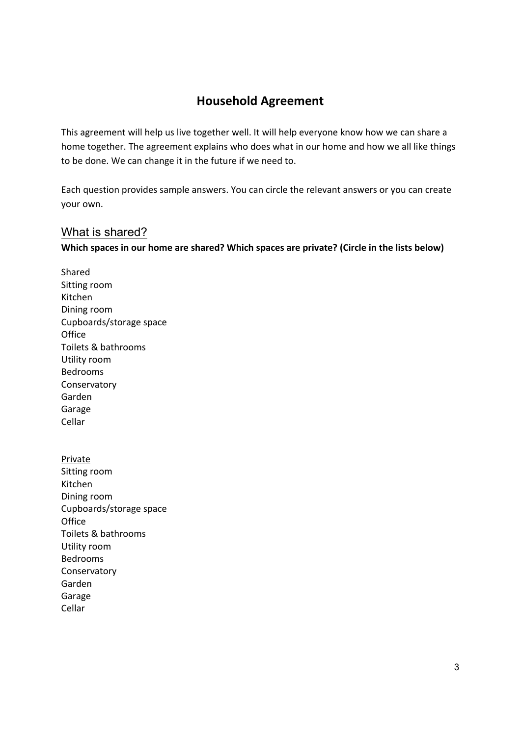# **Household Agreement**

This agreement will help us live together well. It will help everyone know how we can share a home together. The agreement explains who does what in our home and how we all like things to be done. We can change it in the future if we need to.

Each question provides sample answers. You can circle the relevant answers or you can create your own.

## What is shared?

**Which spaces in our home are shared? Which spaces are private? (Circle in the lists below)** 

Shared Sitting room Kitchen Dining room Cupboards/storage space **Office** Toilets & bathrooms Utility room Bedrooms Conservatory Garden Garage Cellar

**Private** Sitting room Kitchen Dining room Cupboards/storage space **Office** Toilets & bathrooms Utility room Bedrooms Conservatory Garden Garage Cellar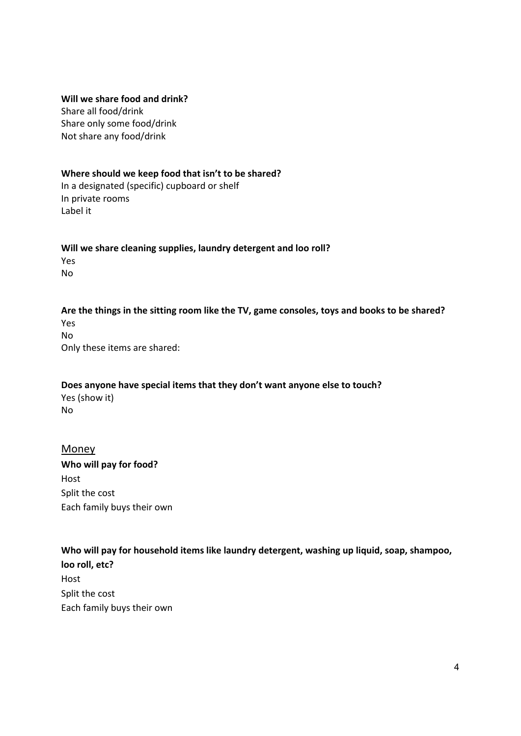#### **Will we share food and drink?**

Share all food/drink Share only some food/drink Not share any food/drink

#### **Where should we keep food that isn't to be shared?**

In a designated (specific) cupboard or shelf In private rooms Label it

Will we share cleaning supplies, laundry detergent and loo roll? Yes No

**Are the things in the sitting room like the TV, game consoles, toys and books to be shared?**  Yes No Only these items are shared:

**Does anyone have special items that they don't want anyone else to touch?**  Yes (show it) No

#### Money

**Who will pay for food?**  Host Split the cost Each family buys their own

## **Who will pay for household items like laundry detergent, washing up liquid, soap, shampoo,**

**loo roll, etc?**  Host Split the cost Each family buys their own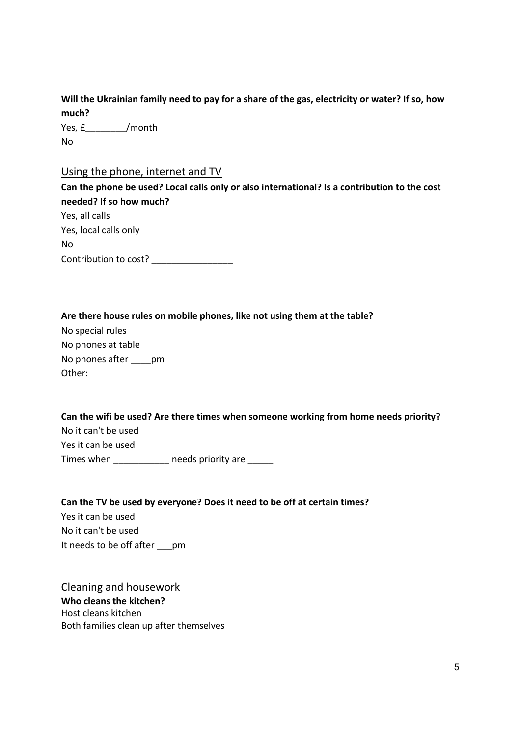**Will the Ukrainian family need to pay for a share of the gas, electricity or water? If so, how**  much?

Yes, £\_\_\_\_\_\_\_\_/month No

#### Using the phone, internet and TV

**Can the phone be used? Local calls only or also international? Is a contribution to the cost needed? If so how much?** 

Yes, all calls Yes, local calls only No Contribution to cost? \_\_\_\_\_\_\_\_\_\_\_\_\_\_\_\_\_\_

#### **Are there house rules on mobile phones, like not using them at the table?**

No special rules No phones at table No phones after pm Other:

## **Can the wifi be used? Are there times when someone working from home needs priority?**  No it can't be used Yes it can be used Times when \_\_\_\_\_\_\_\_\_\_\_\_ needs priority are \_\_\_\_\_

#### **Can the TV be used by everyone? Does it need to be off at certain times?**

Yes it can be used No it can't be used It needs to be off after \_\_\_pm

Cleaning and housework **Who cleans the kitchen?** Host cleans kitchen Both families clean up after themselves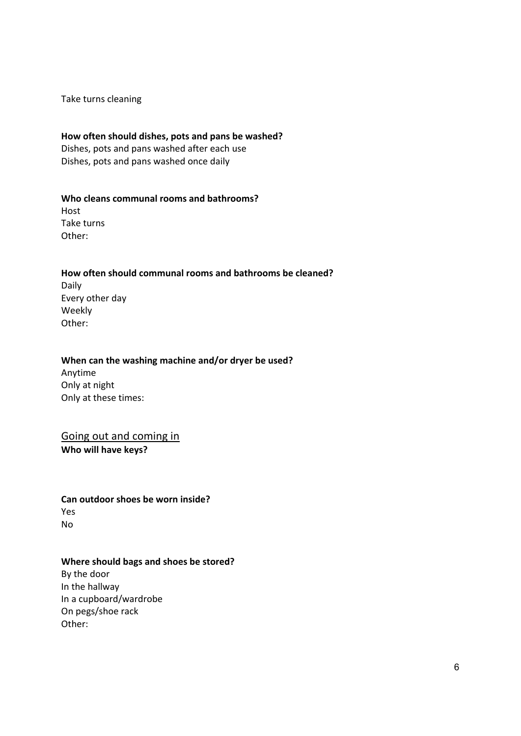Take turns cleaning

#### **How often should dishes, pots and pans be washed?**

Dishes, pots and pans washed after each use Dishes, pots and pans washed once daily

#### **Who cleans communal rooms and bathrooms?**

Host Take turns Other:

#### **How often should communal rooms and bathrooms be cleaned?**

Daily Every other day Weekly Other:

#### When can the washing machine and/or dryer be used?

Anytime Only at night Only at these times:

Going out and coming in **Who will have keys?** 

**Can outdoor shoes be worn inside?**  Yes No

#### **Where should bags and shoes be stored?**

By the door In the hallway In a cupboard/wardrobe On pegs/shoe rack Other: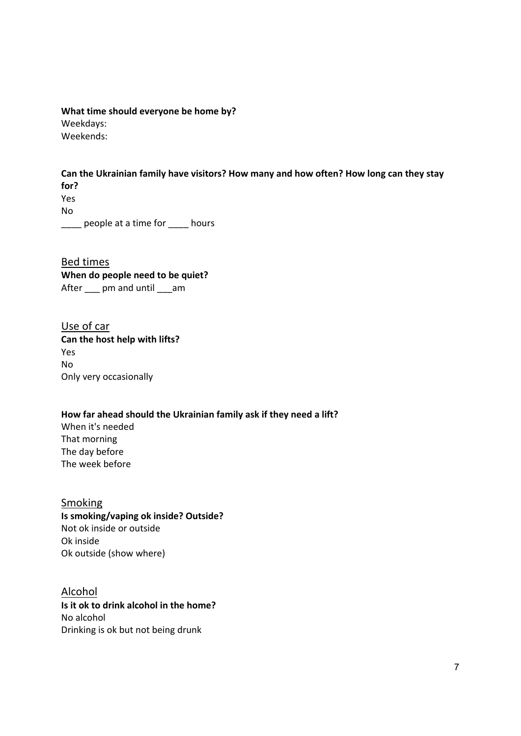**What time should everyone be home by?**  Weekdays: Weekends:

**Can the Ukrainian family have visitors? How many and how often? How long can they stay for?**  Yes No

\_\_\_\_ people at a time for \_\_\_\_ hours

Bed times **When do people need to be quiet?**  After \_\_\_ pm and until \_\_\_am

Use of car **Can the host help with lifts?**  Yes No Only very occasionally

## **How far ahead should the Ukrainian family ask if they need a lift?**  When it's needed

That morning The day before The week before

Smoking **Is smoking/vaping ok inside? Outside?**  Not ok inside or outside Ok inside Ok outside (show where)

Alcohol **Is it ok to drink alcohol in the home?**  No alcohol Drinking is ok but not being drunk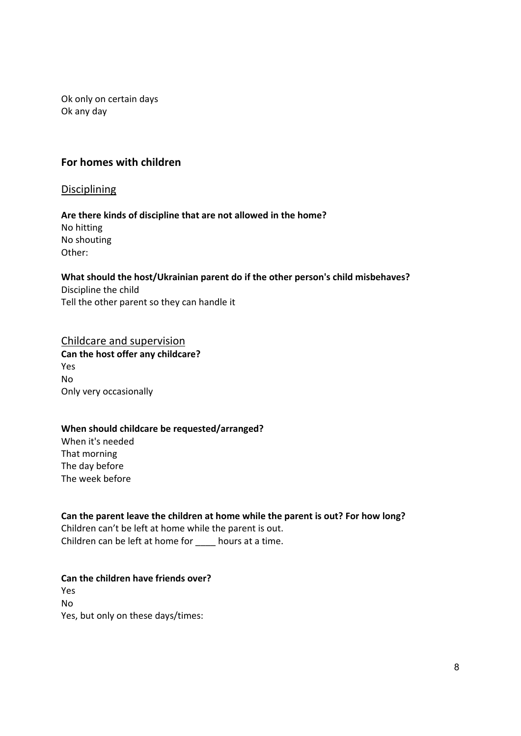Ok only on certain days Ok any day

## **For homes with children**

Disciplining

#### **Are there kinds of discipline that are not allowed in the home?** No hitting No shouting

Other:

## **What should the host/Ukrainian parent do if the other person's child misbehaves?**

Discipline the child Tell the other parent so they can handle it

# Childcare and supervision

**Can the host offer any childcare?**  Yes No Only very occasionally

## **When should childcare be requested/arranged?**

When it's needed That morning The day before The week before

## **Can the parent leave the children at home while the parent is out? For how long?**

Children can't be left at home while the parent is out. Children can be left at home for \_\_\_\_ hours at a time.

## **Can the children have friends over?**

Yes No Yes, but only on these days/times: